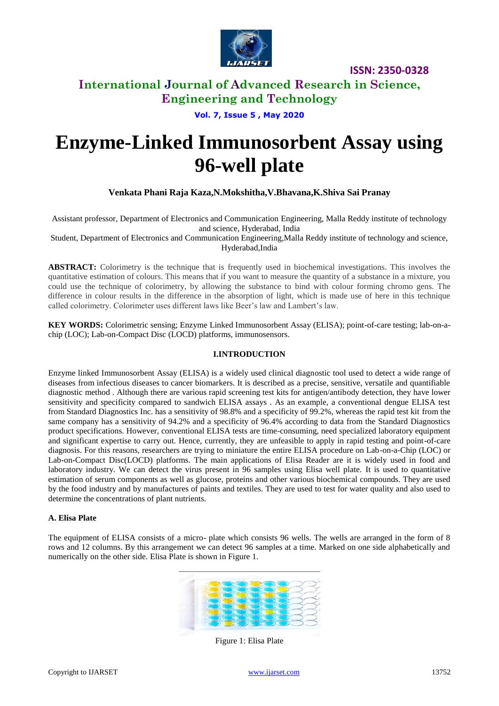

### **International Journal of Advanced Research in Science, Engineering and Technology**

**Vol. 7, Issue 5 , May 2020**

# **Enzyme-Linked Immunosorbent Assay using 96-well plate**

#### **Venkata Phani Raja Kaza,N.Mokshitha,V.Bhavana,K.Shiva Sai Pranay**

Assistant professor, Department of Electronics and Communication Engineering, Malla Reddy institute of technology and science, Hyderabad, India

Student, Department of Electronics and Communication Engineering,Malla Reddy institute of technology and science, Hyderabad,India

**ABSTRACT:** Colorimetry is the technique that is frequently used in biochemical investigations. This involves the quantitative estimation of colours. This means that if you want to measure the quantity of a substance in a mixture, you could use the technique of colorimetry, by allowing the substance to bind with colour forming chromo gens. The difference in colour results in the difference in the absorption of light, which is made use of here in this technique called colorimetry. Colorimeter uses different laws like Beer's law and Lambert's law.

**KEY WORDS:** Colorimetric sensing; Enzyme Linked Immunosorbent Assay (ELISA); point-of-care testing; lab-on-achip (LOC); Lab-on-Compact Disc (LOCD) platforms, immunosensors.

#### **I.INTRODUCTION**

Enzyme linked Immunosorbent Assay (ELISA) is a widely used clinical diagnostic tool used to detect a wide range of diseases from infectious diseases to cancer biomarkers. It is described as a precise, sensitive, versatile and quantifiable diagnostic method . Although there are various rapid screening test kits for antigen/antibody detection, they have lower sensitivity and specificity compared to sandwich ELISA assays . As an example, a conventional dengue ELISA test from Standard Diagnostics Inc. has a sensitivity of 98.8% and a specificity of 99.2%, whereas the rapid test kit from the same company has a sensitivity of 94.2% and a specificity of 96.4% according to data from the Standard Diagnostics product specifications. However, conventional ELISA tests are time-consuming, need specialized laboratory equipment and significant expertise to carry out. Hence, currently, they are unfeasible to apply in rapid testing and point-of-care diagnosis. For this reasons, researchers are trying to miniature the entire ELISA procedure on Lab-on-a-Chip (LOC) or Lab-on-Compact Disc(LOCD) platforms. The main applications of Elisa Reader are it is widely used in food and laboratory industry. We can detect the virus present in 96 samples using Elisa well plate. It is used to quantitative estimation of serum components as well as glucose, proteins and other various biochemical compounds. They are used by the food industry and by manufactures of paints and textiles. They are used to test for water quality and also used to determine the concentrations of plant nutrients.

#### **A. Elisa Plate**

The equipment of ELISA consists of a micro- plate which consists 96 wells. The wells are arranged in the form of 8 rows and 12 columns. By this arrangement we can detect 96 samples at a time. Marked on one side alphabetically and numerically on the other side. Elisa Plate is shown in Figure 1.



Figure 1: Elisa Plate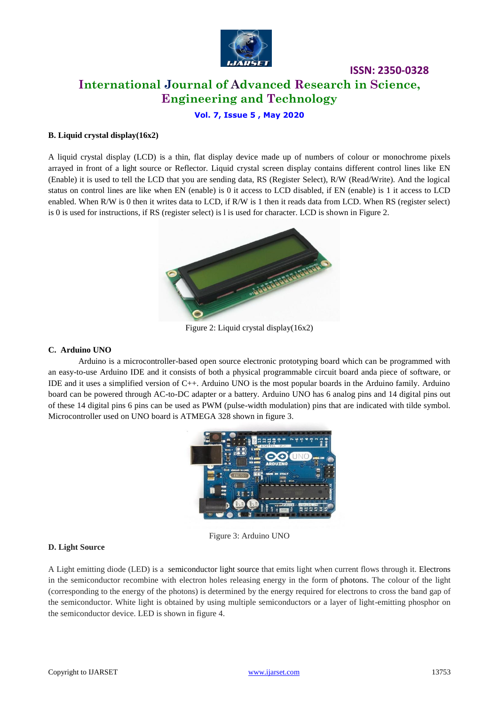

## **International Journal of Advanced Research in Science, Engineering and Technology**

**ISSN: 2350-0328**

**Vol. 7, Issue 5 , May 2020**

#### **B. Liquid crystal display(16x2)**

A liquid crystal display (LCD) is a thin, flat display device made up of numbers of colour or monochrome pixels arrayed in front of a light source or Reflector. Liquid crystal screen display contains different control lines like EN (Enable) it is used to tell the LCD that you are sending data, RS (Register Select), R/W (Read/Write). And the logical status on control lines are like when EN (enable) is 0 it access to LCD disabled, if EN (enable) is 1 it access to LCD enabled. When R/W is 0 then it writes data to LCD, if R/W is 1 then it reads data from LCD. When RS (register select) is 0 is used for instructions, if RS (register select) is l is used for character. LCD is shown in Figure 2.



Figure 2: Liquid crystal display(16x2)

#### **C. Arduino UNO**

Arduino is a microcontroller-based open source electronic prototyping board which can be programmed with an easy-to-use Arduino IDE and it consists of both a physical programmable circuit board anda piece of software, or IDE and it uses a simplified version of C++. Arduino UNO is the most popular boards in the Arduino family. Arduino board can be powered through AC-to-DC adapter or a battery. Arduino UNO has 6 analog pins and 14 digital pins out of these 14 digital pins 6 pins can be used as PWM (pulse-width modulation) pins that are indicated with tilde symbol. Microcontroller used on UNO board is ATMEGA 328 shown in figure 3.



Figure 3: Arduino UNO

#### **D. Light Source**

A Light emitting diode (LED) is a semiconductor light source that emits light when current flows through it. Electrons in the semiconductor recombine with electron holes releasing energy in the form of photons. The colour of the light (corresponding to the energy of the photons) is determined by the energy required for electrons to cross the band gap of the semiconductor. White light is obtained by using multiple semiconductors or a layer of light-emitting phosphor on the semiconductor device. LED is shown in figure 4.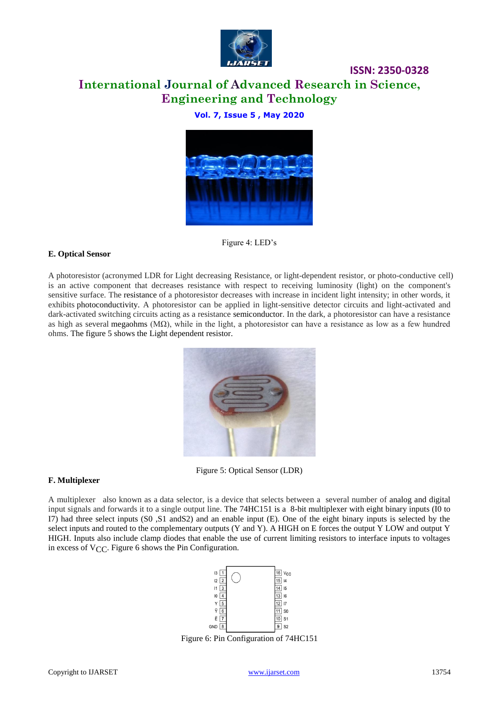

### **ISSN: 2350-0328 International Journal of Advanced Research in Science, Engineering and Technology**

### **Vol. 7, Issue 5 , May 2020**



Figure 4: LED's

#### **E. Optical Sensor**

A photoresistor (acronymed LDR for Light decreasing Resistance, or light-dependent resistor, or photo-conductive cell) is an active component that decreases resistance with respect to receiving luminosity (light) on the component's sensitive surface. The resistance of a photoresistor decreases with increase in incident light intensity; in other words, it exhibits photoconductivity. A photoresistor can be applied in light-sensitive detector circuits and light-activated and dark-activated switching circuits acting as a resistance semiconductor. In the dark, a photoresistor can have a resistance as high as several megaohms (MΩ), while in the light, a photoresistor can have a resistance as low as a few hundred ohms. The figure 5 shows the Light dependent resistor.



Figure 5: Optical Sensor (LDR)

#### **F. Multiplexer**

A multiplexer also known as a data selector, is a device that selects between a several number of analog and digital input signals and forwards it to a single output line. The 74HC151 is a 8-bit multiplexer with eight binary inputs (I0 to I7) had three select inputs (S0 ,S1 andS2) and an enable input (E). One of the eight binary inputs is selected by the select inputs and routed to the complementary outputs (Y and Y). A HIGH on E forces the output Y LOW and output Y HIGH. Inputs also include clamp diodes that enable the use of current limiting resistors to interface inputs to voltages in excess of  $V_{\text{CC}}$ . Figure 6 shows the Pin Configuration.



Figure 6: Pin Configuration of 74HC151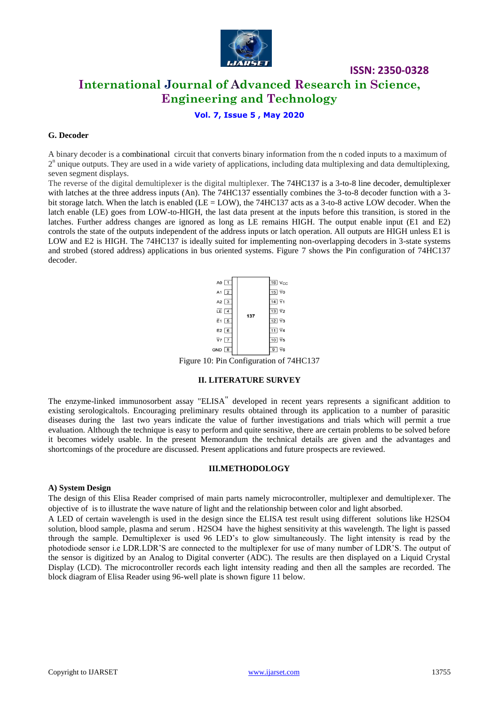

### **International Journal of Advanced Research in Science, Engineering and Technology**

#### **Vol. 7, Issue 5 , May 2020**

#### **G. Decoder**

A binary decoder is a combinational circuit that converts binary information from the n coded inputs to a maximum of  $2<sup>n</sup>$  unique outputs. They are used in a wide variety of applications, including data multiplexing and data demultiplexing, seven segment displays.

The reverse of the digital demultiplexer is the digital multiplexer. The 74HC137 is a 3-to-8 line decoder, demultiplexer with latches at the three address inputs (An). The 74HC137 essentially combines the 3-to-8 decoder function with a 3bit storage latch. When the latch is enabled ( $LE = LOW$ ), the 74HC137 acts as a 3-to-8 active LOW decoder. When the latch enable (LE) goes from LOW-to-HIGH, the last data present at the inputs before this transition, is stored in the latches. Further address changes are ignored as long as LE remains HIGH. The output enable input (E1 and E2) controls the state of the outputs independent of the address inputs or latch operation. All outputs are HIGH unless E1 is LOW and E2 is HIGH. The 74HC137 is ideally suited for implementing non-overlapping decoders in 3-state systems and strobed (stored address) applications in bus oriented systems. Figure 7 shows the Pin configuration of 74HC137 decoder.



Figure 10: Pin Configuration of 74HC137

#### **II. LITERATURE SURVEY**

The enzyme-linked immunosorbent assay "ELISA" developed in recent years represents a significant addition to existing serologicaltols. Encouraging preliminary results obtained through its application to a number of parasitic diseases during the last two years indicate the value of further investigations and trials which will permit a true evaluation. Although the technique is easy to perform and quite sensitive, there are certain problems to be solved before it becomes widely usable. In the present Memorandum the technical details are given and the advantages and shortcomings of the procedure are discussed. Present applications and future prospects are reviewed.

#### **III.METHODOLOGY**

#### **A) System Design**

The design of this Elisa Reader comprised of main parts namely microcontroller, multiplexer and demultiplexer. The objective of is to illustrate the wave nature of light and the relationship between color and light absorbed.

A LED of certain wavelength is used in the design since the ELISA test result using different solutions like H2SO4 solution, blood sample, plasma and serum . H2SO4 have the highest sensitivity at this wavelength. The light is passed through the sample. Demultiplexer is used 96 LED's to glow simultaneously. The light intensity is read by the photodiode sensor i.e LDR.LDR'S are connected to the multiplexer for use of many number of LDR'S. The output of the sensor is digitized by an Analog to Digital converter (ADC). The results are then displayed on a Liquid Crystal Display (LCD). The microcontroller records each light intensity reading and then all the samples are recorded. The block diagram of Elisa Reader using 96-well plate is shown figure 11 below.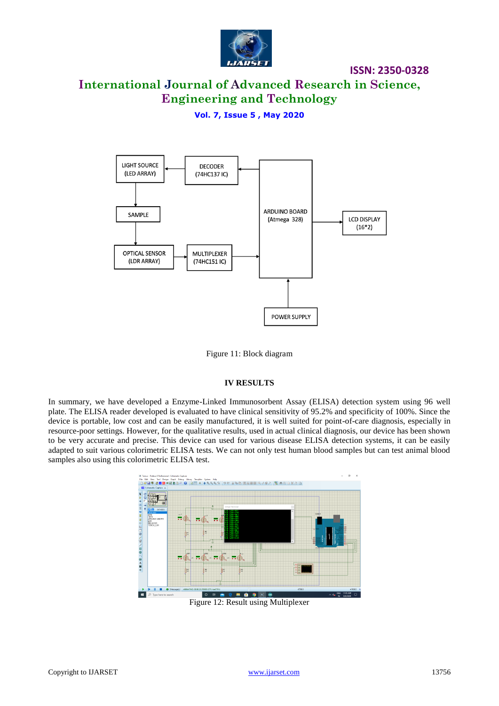

### **International Journal of Advanced Research in Science, Engineering and Technology**

**Vol. 7, Issue 5 , May 2020**



Figure 11: Block diagram

#### **IV RESULTS**

In summary, we have developed a Enzyme-Linked Immunosorbent Assay (ELISA) detection system using 96 well plate. The ELISA reader developed is evaluated to have clinical sensitivity of 95.2% and specificity of 100%. Since the device is portable, low cost and can be easily manufactured, it is well suited for point-of-care diagnosis, especially in resource-poor settings. However, for the qualitative results, used in actual clinical diagnosis, our device has been shown to be very accurate and precise. This device can used for various disease ELISA detection systems, it can be easily adapted to suit various colorimetric ELISA tests. We can not only test human blood samples but can test animal blood samples also using this colorimetric ELISA test.



Figure 12: Result using Multiplexer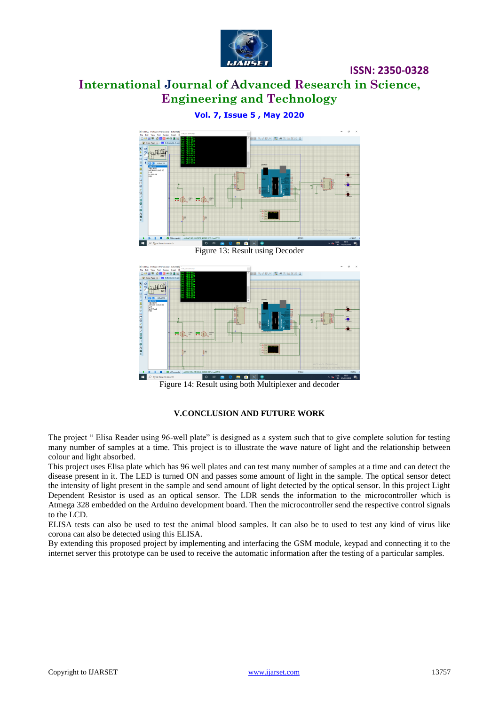

### **International Journal of Advanced Research in Science, Engineering and Technology**



**Vol. 7, Issue 5 , May 2020**

₩WA 300 V WA 300 V WA 300 Figure 14: Result using both Multiplexer and decoder

### **V.CONCLUSION AND FUTURE WORK**

The project " Elisa Reader using 96-well plate" is designed as a system such that to give complete solution for testing many number of samples at a time. This project is to illustrate the wave nature of light and the relationship between colour and light absorbed.

This project uses Elisa plate which has 96 well plates and can test many number of samples at a time and can detect the disease present in it. The LED is turned ON and passes some amount of light in the sample. The optical sensor detect the intensity of light present in the sample and send amount of light detected by the optical sensor. In this project Light Dependent Resistor is used as an optical sensor. The LDR sends the information to the microcontroller which is Atmega 328 embedded on the Arduino development board. Then the microcontroller send the respective control signals to the LCD.

ELISA tests can also be used to test the animal blood samples. It can also be to used to test any kind of virus like corona can also be detected using this ELISA.

By extending this proposed project by implementing and interfacing the GSM module, keypad and connecting it to the internet server this prototype can be used to receive the automatic information after the testing of a particular samples.